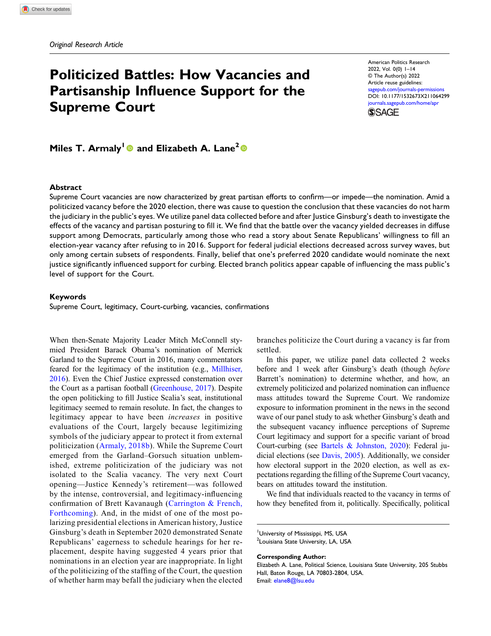# Politicized Battles: How Vacancies and Partisanship Influence Support for the Supreme Court

American Politics Research 2022, Vol. 0(0) 1–14 © The Author(s) 2022 Article reuse guidelines: [sagepub.com/journals-permissions](https://us.sagepub.com/en-us/journals-permissions) DOI: [10.1177/1532673X211064299](https://doi.org/10.1177/1532673X211064299) [journals.sagepub.com/home/apr](https://journals.sagepub.com/home/apr) **SSAGE** 

Miles T. Armaly<sup>1</sup> and Elizabeth A. Lane<sup>2</sup>

### Abstract

Supreme Court vacancies are now characterized by great partisan efforts to confirm—or impede—the nomination. Amid a politicized vacancy before the 2020 election, there was cause to question the conclusion that these vacancies do not harm the judiciary in the public's eyes. We utilize panel data collected before and after Justice Ginsburg's death to investigate the effects of the vacancy and partisan posturing to fill it. We find that the battle over the vacancy yielded decreases in diffuse support among Democrats, particularly among those who read a story about Senate Republicans' willingness to fill an election-year vacancy after refusing to in 2016. Support for federal judicial elections decreased across survey waves, but only among certain subsets of respondents. Finally, belief that one's preferred 2020 candidate would nominate the next justice significantly influenced support for curbing. Elected branch politics appear capable of influencing the mass public's level of support for the Court.

### Keywords

Supreme Court, legitimacy, Court-curbing, vacancies, confirmations

When then-Senate Majority Leader Mitch McConnell stymied President Barack Obama's nomination of Merrick Garland to the Supreme Court in 2016, many commentators feared for the legitimacy of the institution (e.g., [Millhiser,](#page-13-0) [2016\)](#page-13-0). Even the Chief Justice expressed consternation over the Court as a partisan football [\(Greenhouse, 2017\)](#page-12-0). Despite the open politicking to fill Justice Scalia's seat, institutional legitimacy seemed to remain resolute. In fact, the changes to legitimacy appear to have been increases in positive evaluations of the Court, largely because legitimizing symbols of the judiciary appear to protect it from external politicization ([Armaly, 2018b\)](#page-11-0). While the Supreme Court emerged from the Garland–Gorsuch situation unblemished, extreme politicization of the judiciary was not isolated to the Scalia vacancy. The very next Court opening—Justice Kennedy's retirement—was followed by the intense, controversial, and legitimacy-influencing confirmation of Brett Kavanaugh ([Carrington & French,](#page-11-1) [Forthcoming](#page-11-1)). And, in the midst of one of the most polarizing presidential elections in American history, Justice Ginsburg's death in September 2020 demonstrated Senate Republicans' eagerness to schedule hearings for her replacement, despite having suggested 4 years prior that nominations in an election year are inappropriate. In light of the politicizing of the staffing of the Court, the question of whether harm may befall the judiciary when the elected branches politicize the Court during a vacancy is far from settled.

In this paper, we utilize panel data collected 2 weeks before and 1 week after Ginsburg's death (though *before* Barrett's nomination) to determine whether, and how, an extremely politicized and polarized nomination can influence mass attitudes toward the Supreme Court. We randomize exposure to information prominent in the news in the second wave of our panel study to ask whether Ginsburg's death and the subsequent vacancy influence perceptions of Supreme Court legitimacy and support for a specific variant of broad Court-curbing (see [Bartels & Johnston, 2020](#page-11-2)): Federal judicial elections (see [Davis, 2005\)](#page-12-1). Additionally, we consider how electoral support in the 2020 election, as well as expectations regarding the filling of the Supreme Court vacancy, bears on attitudes toward the institution.

We find that individuals reacted to the vacancy in terms of how they benefited from it, politically. Specifically, political

Corresponding Author:

<sup>&</sup>lt;sup>1</sup>University of Mississippi, MS, USA <sup>2</sup>Louisiana State University, LA, USA

Elizabeth A. Lane, Political Science, Louisiana State University, 205 Stubbs Hall, Baton Rouge, LA 70803-2804, USA. Email: [elane8@lsu.edu](mailto:elane8@lsu.edu)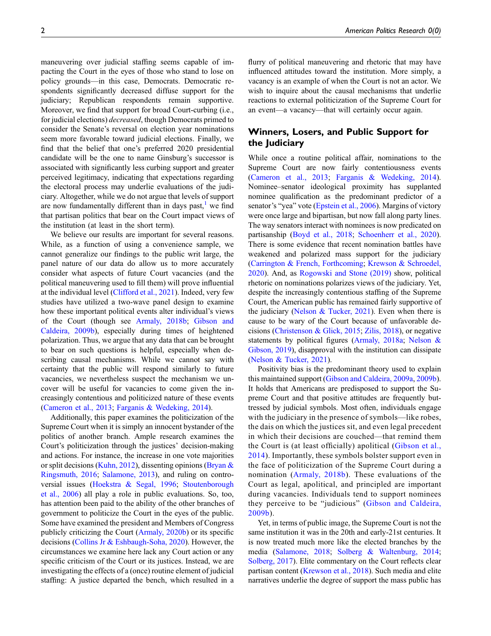maneuvering over judicial staffing seems capable of impacting the Court in the eyes of those who stand to lose on policy grounds—in this case, Democrats. Democratic respondents significantly decreased diffuse support for the judiciary; Republican respondents remain supportive. Moreover, we find that support for broad Court-curbing (i.e., for judicial elections) decreased, though Democrats primed to consider the Senate's reversal on election year nominations seem more favorable toward judicial elections. Finally, we find that the belief that one's preferred 2020 presidential candidate will be the one to name Ginsburg's successor is associated with significantly less curbing support and greater perceived legitimacy, indicating that expectations regarding the electoral process may underlie evaluations of the judiciary. Altogether, while we do not argue that levels of support are now fundamentally different than in days past, $<sup>1</sup>$  $<sup>1</sup>$  $<sup>1</sup>$  we find</sup> that partisan politics that bear on the Court impact views of the institution (at least in the short term).

We believe our results are important for several reasons. While, as a function of using a convenience sample, we cannot generalize our findings to the public writ large, the panel nature of our data do allow us to more accurately consider what aspects of future Court vacancies (and the political maneuvering used to fill them) will prove influential at the individual level [\(Clifford et al., 2021\)](#page-12-2). Indeed, very few studies have utilized a two-wave panel design to examine how these important political events alter individual's views of the Court (though see [Armaly, 2018b](#page-11-0); [Gibson and](#page-12-3) [Caldeira, 2009b\)](#page-12-3), especially during times of heightened polarization. Thus, we argue that any data that can be brought to bear on such questions is helpful, especially when describing causal mechanisms. While we cannot say with certainty that the public will respond similarly to future vacancies, we nevertheless suspect the mechanism we uncover will be useful for vacancies to come given the increasingly contentious and politicized nature of these events [\(Cameron et al., 2013;](#page-11-3) [Farganis & Wedeking, 2014\)](#page-12-4).

Additionally, this paper examines the politicization of the Supreme Court when it is simply an innocent bystander of the politics of another branch. Ample research examines the Court's politicization through the justices' decision-making and actions. For instance, the increase in one vote majorities or split decisions [\(Kuhn, 2012\)](#page-13-1), dissenting opinions (Bryan  $\&$ [Ringsmuth, 2016](#page-11-4); [Salamone, 2013](#page-13-2)), and ruling on controversial issues [\(Hoekstra & Segal, 1996;](#page-12-5) [Stoutenborough](#page-13-3) [et al., 2006](#page-13-3)) all play a role in public evaluations. So, too, has attention been paid to the ability of the other branches of government to politicize the Court in the eyes of the public. Some have examined the president and Members of Congress publicly criticizing the Court ([Armaly, 2020b](#page-11-5)) or its specific decisions [\(Collins Jr & Eshbaugh-Soha, 2020\)](#page-12-6). However, the circumstances we examine here lack any Court action or any specific criticism of the Court or its justices. Instead, we are investigating the effects of a (once) routine element of judicial staffing: A justice departed the bench, which resulted in a

flurry of political maneuvering and rhetoric that may have influenced attitudes toward the institution. More simply, a vacancy is an example of when the Court is not an actor. We wish to inquire about the causal mechanisms that underlie reactions to external politicization of the Supreme Court for an event—a vacancy—that will certainly occur again.

# Winners, Losers, and Public Support for the Judiciary

While once a routine political affair, nominations to the Supreme Court are now fairly contentiousness events ([Cameron et al., 2013](#page-11-3); [Farganis & Wedeking, 2014\)](#page-12-4). Nominee–senator ideological proximity has supplanted nominee qualification as the predominant predictor of a senator's "yea" vote [\(Epstein et al., 2006](#page-12-7)). Margins of victory were once large and bipartisan, but now fall along party lines. The way senators interact with nominees is now predicated on partisanship [\(Boyd et al., 2018](#page-11-6); [Schoenherr et al., 2020\)](#page-13-4). There is some evidence that recent nomination battles have weakened and polarized mass support for the judiciary ([Carrington & French, Forthcoming](#page-11-1); [Krewson & Schroedel,](#page-13-5) [2020\)](#page-13-5). And, as [Rogowski and Stone \(2019\)](#page-13-6) show, political rhetoric on nominations polarizes views of the judiciary. Yet, despite the increasingly contentious staffing of the Supreme Court, the American public has remained fairly supportive of the judiciary (Nelson  $&$  Tucker, 2021). Even when there is cause to be wary of the Court because of unfavorable decisions ([Christenson & Glick, 2015;](#page-12-8) [Zilis, 2018\)](#page-13-8), or negative statements by political figures ([Armaly, 2018a;](#page-11-7) [Nelson &](#page-13-9) [Gibson, 2019\)](#page-13-9), disapproval with the institution can dissipate ([Nelson & Tucker, 2021](#page-13-7)).

Positivity bias is the predominant theory used to explain this maintained support [\(Gibson and Caldeira, 2009a](#page-12-9), [2009b\)](#page-12-3). It holds that Americans are predisposed to support the Supreme Court and that positive attitudes are frequently buttressed by judicial symbols. Most often, individuals engage with the judiciary in the presence of symbols—like robes, the dais on which the justices sit, and even legal precedent in which their decisions are couched—that remind them the Court is (at least officially) apolitical [\(Gibson et al.,](#page-12-10) [2014\)](#page-12-10). Importantly, these symbols bolster support even in the face of politicization of the Supreme Court during a nomination ([Armaly, 2018b](#page-11-0)). These evaluations of the Court as legal, apolitical, and principled are important during vacancies. Individuals tend to support nominees they perceive to be "judicious" ([Gibson and Caldeira,](#page-12-3) [2009b](#page-12-3)).

Yet, in terms of public image, the Supreme Court is not the same institution it was in the 20th and early-21st centuries. It is now treated much more like the elected branches by the media ([Salamone, 2018;](#page-13-10) [Solberg & Waltenburg, 2014;](#page-13-11) [Solberg, 2017](#page-13-12)). Elite commentary on the Court reflects clear partisan content ([Krewson et al., 2018\)](#page-13-13). Such media and elite narratives underlie the degree of support the mass public has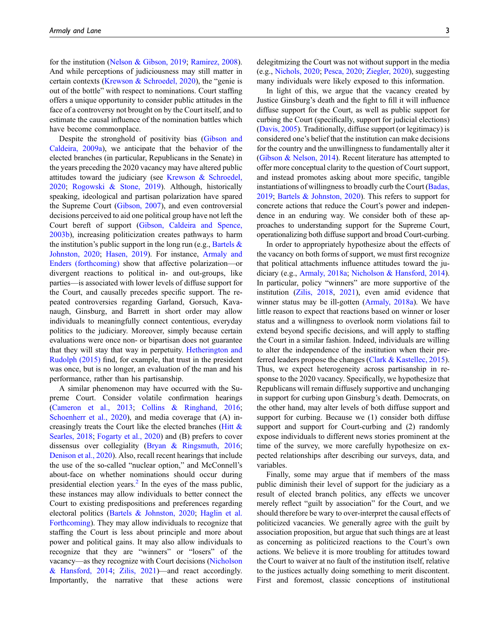for the institution [\(Nelson & Gibson, 2019](#page-13-9); [Ramirez, 2008\)](#page-13-14). And while perceptions of judiciousness may still matter in certain contexts [\(Krewson & Schroedel, 2020\)](#page-13-5), the "genie is out of the bottle" with respect to nominations. Court staffing offers a unique opportunity to consider public attitudes in the face of a controversy not brought on by the Court itself, and to estimate the causal influence of the nomination battles which have become commonplace.

Despite the stronghold of positivity bias [\(Gibson and](#page-12-9) [Caldeira, 2009a](#page-12-9)), we anticipate that the behavior of the elected branches (in particular, Republicans in the Senate) in the years preceding the 2020 vacancy may have altered public attitudes toward the judiciary (see [Krewson & Schroedel,](#page-13-5) [2020;](#page-13-5) [Rogowski & Stone, 2019\)](#page-13-6). Although, historically speaking, ideological and partisan polarization have spared the Supreme Court ([Gibson, 2007\)](#page-12-11), and even controversial decisions perceived to aid one political group have not left the Court bereft of support [\(Gibson, Caldeira and Spence,](#page-12-12) [2003b\)](#page-12-12), increasing politicization creates pathways to harm the institution's public support in the long run (e.g., Bartels  $\&$ [Johnston, 2020](#page-11-2); [Hasen, 2019](#page-12-13)). For instance, [Armaly and](#page-11-8) [Enders \(forthcoming\)](#page-11-8) show that affective polarization—or divergent reactions to political in- and out-groups, like parties—is associated with lower levels of diffuse support for the Court, and causally precedes specific support. The repeated controversies regarding Garland, Gorsuch, Kavanaugh, Ginsburg, and Barrett in short order may allow individuals to meaningfully connect contentious, everyday politics to the judiciary. Moreover, simply because certain evaluations were once non- or bipartisan does not guarantee that they will stay that way in perpetuity. [Hetherington and](#page-12-14) [Rudolph \(2015\)](#page-12-14) find, for example, that trust in the president was once, but is no longer, an evaluation of the man and his performance, rather than his partisanship.

A similar phenomenon may have occurred with the Supreme Court. Consider volatile confirmation hearings [\(Cameron et al., 2013;](#page-11-3) [Collins & Ringhand, 2016;](#page-12-15) [Schoenherr et al., 2020](#page-13-4)), and media coverage that (A) increasingly treats the Court like the elected branches [\(Hitt &](#page-12-16) [Searles, 2018;](#page-12-16) [Fogarty et al., 2020](#page-12-17)) and (B) prefers to cover dissensus over collegiality ([Bryan & Ringsmuth, 2016;](#page-11-4) [Denison et al., 2020](#page-12-18)). Also, recall recent hearings that include the use of the so-called "nuclear option," and McConnell's about-face on whether nominations should occur during presidential election years. $^{2}$  $^{2}$  $^{2}$  In the eyes of the mass public, these instances may allow individuals to better connect the Court to existing predispositions and preferences regarding electoral politics ([Bartels & Johnston, 2020;](#page-11-2) [Haglin et al.](#page-12-19) [Forthcoming\)](#page-12-19). They may allow individuals to recognize that staffing the Court is less about principle and more about power and political gains. It may also allow individuals to recognize that they are "winners" or "losers" of the vacancy—as they recognize with Court decisions ([Nicholson](#page-13-15) [& Hansford, 2014](#page-13-15); [Zilis, 2021](#page-13-16))—and react accordingly. Importantly, the narrative that these actions were

delegitmizing the Court was not without support in the media (e.g., [Nichols, 2020;](#page-13-17) [Pesca, 2020;](#page-13-18) [Ziegler, 2020](#page-13-19)), suggesting many individuals were likely exposed to this information.

In light of this, we argue that the vacancy created by Justice Ginsburg's death and the fight to fill it will influence diffuse support for the Court, as well as public support for curbing the Court (specifically, support for judicial elections) ([Davis, 2005\)](#page-12-1). Traditionally, diffuse support (or legitimacy) is considered one's belief that the institution can make decisions for the country and the unwillingness to fundamentally alter it ([Gibson & Nelson, 2014\)](#page-12-20). Recent literature has attempted to offer more conceptual clarity to the question of Court support, and instead promotes asking about more specific, tangible instantiations of willingness to broadly curb the Court [\(Badas,](#page-11-9) [2019](#page-11-9); [Bartels & Johnston, 2020\)](#page-11-2). This refers to support for concrete actions that reduce the Court's power and independence in an enduring way. We consider both of these approaches to understanding support for the Supreme Court, operationalizing both diffuse support and broad Court-curbing.

In order to appropriately hypothesize about the effects of the vacancy on both forms of support, we must first recognize that political attachments influence attitudes toward the judiciary (e.g., [Armaly, 2018a;](#page-11-7) [Nicholson & Hansford, 2014](#page-13-15)). In particular, policy "winners" are more supportive of the institution [\(Zilis, 2018,](#page-13-8) [2021\)](#page-13-16), even amid evidence that winner status may be ill-gotten [\(Armaly, 2018a\)](#page-11-7). We have little reason to expect that reactions based on winner or loser status and a willingness to overlook norm violations fail to extend beyond specific decisions, and will apply to staffing the Court in a similar fashion. Indeed, individuals are willing to alter the independence of the institution when their preferred leaders propose the changes [\(Clark & Kastellec, 2015](#page-12-21)). Thus, we expect heterogeneity across partisanship in response to the 2020 vacancy. Specifically, we hypothesize that Republicans will remain diffusely supportive and unchanging in support for curbing upon Ginsburg's death. Democrats, on the other hand, may alter levels of both diffuse support and support for curbing. Because we (1) consider both diffuse support and support for Court-curbing and  $(2)$  randomly expose individuals to different news stories prominent at the time of the survey, we more carefully hypothesize on expected relationships after describing our surveys, data, and variables.

Finally, some may argue that if members of the mass public diminish their level of support for the judiciary as a result of elected branch politics, any effects we uncover merely reflect "guilt by association" for the Court, and we should therefore be wary to over-interpret the causal effects of politicized vacancies. We generally agree with the guilt by association proposition, but argue that such things are at least as concerning as politicized reactions to the Court's own actions. We believe it is more troubling for attitudes toward the Court to waiver at no fault of the institution itself, relative to the justices actually doing something to merit discontent. First and foremost, classic conceptions of institutional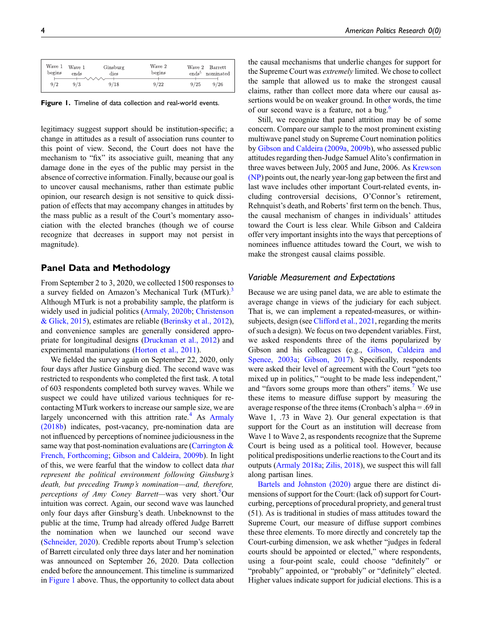| Wave 1<br>begins | Wave 1<br>ends | Ginsburg<br>dies | Wave 2<br>begins | Wave 2 Barrett<br>ends <sup>5</sup><br>nominated |
|------------------|----------------|------------------|------------------|--------------------------------------------------|
| 9/2              | 9/3            | 9/18             | 9/22             | 9/26<br>9/25                                     |

<span id="page-3-0"></span>Figure 1. Timeline of data collection and real-world events.

legitimacy suggest support should be institution-specific; a change in attitudes as a result of association runs counter to this point of view. Second, the Court does not have the mechanism to "fix" its associative guilt, meaning that any damage done in the eyes of the public may persist in the absence of corrective information. Finally, because our goal is to uncover causal mechanisms, rather than estimate public opinion, our research design is not sensitive to quick dissipation of effects that may accompany changes in attitudes by the mass public as a result of the Court's momentary association with the elected branches (though we of course recognize that decreases in support may not persist in magnitude).

# Panel Data and Methodology

From September 2 to 3, 2020, we collected 1500 responses to a survey fielded on Amazon's Mechanical Turk (MTurk).<sup>[3](#page-10-2)</sup> Although MTurk is not a probability sample, the platform is widely used in judicial politics [\(Armaly, 2020b;](#page-11-0) [Christenson](#page-12-8) [& Glick, 2015\)](#page-12-8), estimates are reliable [\(Berinsky et al., 2012](#page-11-10)), and convenience samples are generally considered appropriate for longitudinal designs [\(Druckman et al., 2012\)](#page-12-22) and experimental manipulations [\(Horton et al., 2011](#page-12-23)).

We fielded the survey again on September 22, 2020, only four days after Justice Ginsburg died. The second wave was restricted to respondents who completed the first task. A total of 603 respondents completed both survey waves. While we suspect we could have utilized various techniques for recontacting MTurk workers to increase our sample size, we are largely unconcerned with this attrition rate.<sup>[4](#page-10-3)</sup> As  $A$ rmaly [\(2018b](#page-11-0)) indicates, post-vacancy, pre-nomination data are not influenced by perceptions of nominee judiciousness in the same way that post-nomination evaluations are (Carrington  $\&$ [French, Forthcoming](#page-11-1); [Gibson and Caldeira, 2009b\)](#page-12-3). In light of this, we were fearful that the window to collect data that represent the political environment following Ginsburg's death, but preceding Trump's nomination—and, therefore, perceptions of Amy Coney Barrett—was very short.<sup>[5](#page-11-11)</sup>Our intuition was correct. Again, our second wave was launched only four days after Ginsburg's death. Unbeknownst to the public at the time, Trump had already offered Judge Barrett the nomination when we launched our second wave [\(Schneider, 2020](#page-13-20)). Credible reports about Trump's selection of Barrett circulated only three days later and her nomination was announced on September 26, 2020. Data collection ended before the announcement. This timeline is summarized in [Figure 1](#page-3-0) above. Thus, the opportunity to collect data about the causal mechanisms that underlie changes for support for the Supreme Court was extremely limited. We chose to collect the sample that allowed us to make the strongest causal claims, rather than collect more data where our causal assertions would be on weaker ground. In other words, the time of our second wave is a feature, not a bug.<sup>[6](#page-11-12)</sup>

Still, we recognize that panel attrition may be of some concern. Compare our sample to the most prominent existing multiwave panel study on Supreme Court nomination politics by [Gibson and Caldeira \(2009a,](#page-12-9) [2009b](#page-12-3)), who assessed public attitudes regarding then-Judge Samuel Alito's confirmation in three waves between July, 2005 and June, 2006. As [Krewson](#page-13-21) [\(NP\)](#page-13-21) points out, the nearly year-long gap between the first and last wave includes other important Court-related events, including controversial decisions, O'Connor's retirement, Rehnquist's death, and Roberts' first term on the bench. Thus, the causal mechanism of changes in individuals' attitudes toward the Court is less clear. While Gibson and Caldeira offer very important insights into the ways that perceptions of nominees influence attitudes toward the Court, we wish to make the strongest causal claims possible.

### Variable Measurement and Expectations

Because we are using panel data, we are able to estimate the average change in views of the judiciary for each subject. That is, we can implement a repeated-measures, or within-subjects, design (see [Clifford et al., 2021,](#page-12-2) regarding the merits of such a design). We focus on two dependent variables. First, we asked respondents three of the items popularized by Gibson and his colleagues (e.g., [Gibson, Caldeira and](#page-12-24) [Spence, 2003a;](#page-12-24) [Gibson, 2017\)](#page-12-25). Specifically, respondents were asked their level of agreement with the Court "gets too mixed up in politics," "ought to be made less independent," and "favors some groups more than others" items.<sup>[7](#page-11-13)</sup> We use these items to measure diffuse support by measuring the average response of the three items (Cronbach's alpha = .69 in Wave 1, .73 in Wave 2). Our general expectation is that support for the Court as an institution will decrease from Wave 1 to Wave 2, as respondents recognize that the Supreme Court is being used as a political tool. However, because political predispositions underlie reactions to the Court and its outputs [\(Armaly 2018a](#page-11-7); [Zilis, 2018](#page-13-8)), we suspect this will fall along partisan lines.

[Bartels and Johnston \(2020\)](#page-11-2) argue there are distinct dimensions of support for the Court: (lack of) support for Courtcurbing, perceptions of procedural propriety, and general trust (51). As is traditional in studies of mass attitudes toward the Supreme Court, our measure of diffuse support combines these three elements. To more directly and concretely tap the Court-curbing dimension, we ask whether "judges in federal courts should be appointed or elected," where respondents, using a four-point scale, could choose "definitely" or "probably" appointed, or "probably" or "definitely" elected. Higher values indicate support for judicial elections. This is a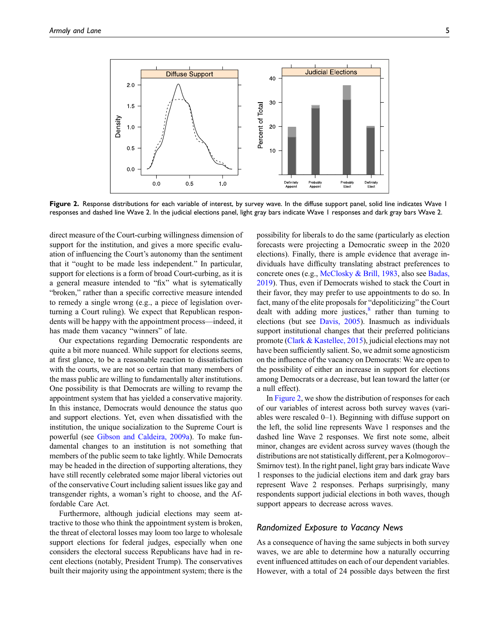

<span id="page-4-0"></span>Figure 2. Response distributions for each variable of interest, by survey wave. In the diffuse support panel, solid line indicates Wave I responses and dashed line Wave 2. In the judicial elections panel, light gray bars indicate Wave 1 responses and dark gray bars Wave 2.

direct measure of the Court-curbing willingness dimension of support for the institution, and gives a more specific evaluation of influencing the Court's autonomy than the sentiment that it "ought to be made less independent." In particular, support for elections is a form of broad Court-curbing, as it is a general measure intended to "fix" what is sytematically "broken," rather than a specific corrective measure intended to remedy a single wrong (e.g., a piece of legislation overturning a Court ruling). We expect that Republican respondents will be happy with the appointment process—indeed, it has made them vacancy "winners" of late.

Our expectations regarding Democratic respondents are quite a bit more nuanced. While support for elections seems, at first glance, to be a reasonable reaction to dissatisfaction with the courts, we are not so certain that many members of the mass public are willing to fundamentally alter institutions. One possibility is that Democrats are willing to revamp the appointment system that has yielded a conservative majority. In this instance, Democrats would denounce the status quo and support elections. Yet, even when dissatisfied with the institution, the unique socialization to the Supreme Court is powerful (see [Gibson and Caldeira, 2009a](#page-12-9)). To make fundamental changes to an institution is not something that members of the public seem to take lightly. While Democrats may be headed in the direction of supporting alterations, they have still recently celebrated some major liberal victories out of the conservative Court including salient issues like gay and transgender rights, a woman's right to choose, and the Affordable Care Act.

Furthermore, although judicial elections may seem attractive to those who think the appointment system is broken, the threat of electoral losses may loom too large to wholesale support elections for federal judges, especially when one considers the electoral success Republicans have had in recent elections (notably, President Trump). The conservatives built their majority using the appointment system; there is the

possibility for liberals to do the same (particularly as election forecasts were projecting a Democratic sweep in the 2020 elections). Finally, there is ample evidence that average individuals have difficulty translating abstract preferences to concrete ones (e.g., [McClosky & Brill, 1983,](#page-13-22) also see [Badas,](#page-11-9) [2019](#page-11-9)). Thus, even if Democrats wished to stack the Court in their favor, they may prefer to use appointments to do so. In fact, many of the elite proposals for "depoliticizing" the Court dealt with adding more justices, $\frac{8}{3}$  $\frac{8}{3}$  $\frac{8}{3}$  rather than turning to elections (but see [Davis, 2005](#page-12-1)). Inasmuch as individuals support institutional changes that their preferred politicians promote [\(Clark & Kastellec, 2015](#page-12-21)), judicial elections may not have been sufficiently salient. So, we admit some agnosticism on the influence of the vacancy on Democrats: We are open to the possibility of either an increase in support for elections among Democrats or a decrease, but lean toward the latter (or a null effect).

In [Figure 2](#page-4-0), we show the distribution of responses for each of our variables of interest across both survey waves (variables were rescaled 0–1). Beginning with diffuse support on the left, the solid line represents Wave 1 responses and the dashed line Wave 2 responses. We first note some, albeit minor, changes are evident across survey waves (though the distributions are not statistically different, per a Kolmogorov– Smirnov test). In the right panel, light gray bars indicate Wave 1 responses to the judicial elections item and dark gray bars represent Wave 2 responses. Perhaps surprisingly, many respondents support judicial elections in both waves, though support appears to decrease across waves.

### Randomized Exposure to Vacancy News

As a consequence of having the same subjects in both survey waves, we are able to determine how a naturally occurring event influenced attitudes on each of our dependent variables. However, with a total of 24 possible days between the first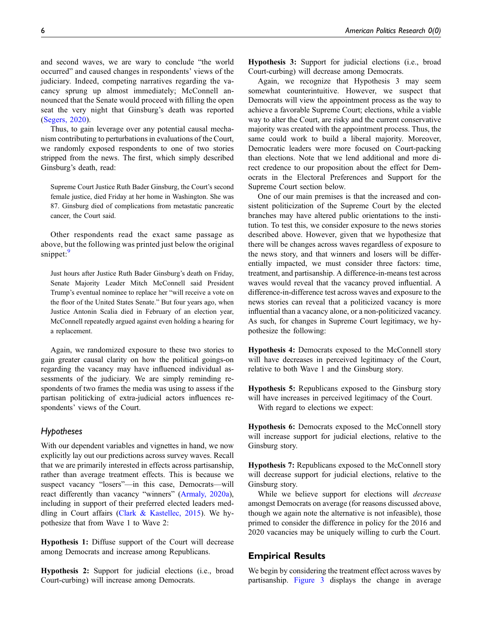and second waves, we are wary to conclude "the world occurred" and caused changes in respondents' views of the judiciary. Indeed, competing narratives regarding the vacancy sprung up almost immediately; McConnell announced that the Senate would proceed with filling the open seat the very night that Ginsburg's death was reported [\(Segers, 2020\)](#page-13-23).

Thus, to gain leverage over any potential causal mechanism contributing to perturbations in evaluations of the Court, we randomly exposed respondents to one of two stories stripped from the news. The first, which simply described Ginsburg's death, read:

Supreme Court Justice Ruth Bader Ginsburg, the Court's second female justice, died Friday at her home in Washington. She was 87. Ginsburg died of complications from metastatic pancreatic cancer, the Court said.

Other respondents read the exact same passage as above, but the following was printed just below the original snippet:<sup>[9](#page-11-15)</sup>

Just hours after Justice Ruth Bader Ginsburg's death on Friday, Senate Majority Leader Mitch McConnell said President Trump's eventual nominee to replace her "will receive a vote on the floor of the United States Senate." But four years ago, when Justice Antonin Scalia died in February of an election year, McConnell repeatedly argued against even holding a hearing for a replacement.

Again, we randomized exposure to these two stories to gain greater causal clarity on how the political goings-on regarding the vacancy may have influenced individual assessments of the judiciary. We are simply reminding respondents of two frames the media was using to assess if the partisan politicking of extra-judicial actors influences respondents' views of the Court.

# Hypotheses

With our dependent variables and vignettes in hand, we now explicitly lay out our predictions across survey waves. Recall that we are primarily interested in effects across partisanship, rather than average treatment effects. This is because we suspect vacancy "losers"—in this case, Democrats—will react differently than vacancy "winners" [\(Armaly, 2020a\)](#page-11-16), including in support of their preferred elected leaders meddling in Court affairs [\(Clark & Kastellec, 2015\)](#page-12-21). We hypothesize that from Wave 1 to Wave 2:

Hypothesis 1: Diffuse support of the Court will decrease among Democrats and increase among Republicans.

Hypothesis 2: Support for judicial elections (i.e., broad Court-curbing) will increase among Democrats.

Hypothesis 3: Support for judicial elections (i.e., broad Court-curbing) will decrease among Democrats.

Again, we recognize that Hypothesis 3 may seem somewhat counterintuitive. However, we suspect that Democrats will view the appointment process as the way to achieve a favorable Supreme Court; elections, while a viable way to alter the Court, are risky and the current conservative majority was created with the appointment process. Thus, the same could work to build a liberal majority. Moreover, Democratic leaders were more focused on Court-packing than elections. Note that we lend additional and more direct credence to our proposition about the effect for Democrats in the Electoral Preferences and Support for the Supreme Court section below.

One of our main premises is that the increased and consistent politicization of the Supreme Court by the elected branches may have altered public orientations to the institution. To test this, we consider exposure to the news stories described above. However, given that we hypothesize that there will be changes across waves regardless of exposure to the news story, and that winners and losers will be differentially impacted, we must consider three factors: time, treatment, and partisanship. A difference-in-means test across waves would reveal that the vacancy proved influential. A difference-in-difference test across waves and exposure to the news stories can reveal that a politicized vacancy is more influential than a vacancy alone, or a non-politicized vacancy. As such, for changes in Supreme Court legitimacy, we hypothesize the following:

Hypothesis 4: Democrats exposed to the McConnell story will have decreases in perceived legitimacy of the Court, relative to both Wave 1 and the Ginsburg story.

Hypothesis 5: Republicans exposed to the Ginsburg story will have increases in perceived legitimacy of the Court. With regard to elections we expect:

Hypothesis 6: Democrats exposed to the McConnell story will increase support for judicial elections, relative to the Ginsburg story.

Hypothesis 7: Republicans exposed to the McConnell story will decrease support for judicial elections, relative to the Ginsburg story.

While we believe support for elections will decrease amongst Democrats on average (for reasons discussed above, though we again note the alternative is not infeasible), those primed to consider the difference in policy for the 2016 and 2020 vacancies may be uniquely willing to curb the Court.

# Empirical Results

We begin by considering the treatment effect across waves by partisanship. [Figure 3](#page-6-0) displays the change in average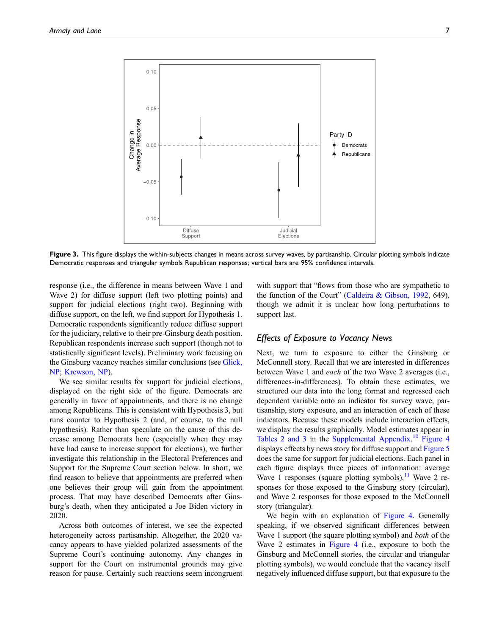

<span id="page-6-0"></span>Figure 3. This figure displays the within-subjects changes in means across survey waves, by partisanship. Circular plotting symbols indicate Democratic responses and triangular symbols Republican responses; vertical bars are 95% confidence intervals.

response (i.e., the difference in means between Wave 1 and Wave 2) for diffuse support (left two plotting points) and support for judicial elections (right two). Beginning with diffuse support, on the left, we find support for Hypothesis 1. Democratic respondents significantly reduce diffuse support for the judiciary, relative to their pre-Ginsburg death position. Republican respondents increase such support (though not to statistically significant levels). Preliminary work focusing on the Ginsburg vacancy reaches similar conclusions (see [Glick,](#page-12-26) [NP](#page-12-26); [Krewson, NP\)](#page-13-21).

We see similar results for support for judicial elections, displayed on the right side of the figure. Democrats are generally in favor of appointments, and there is no change among Republicans. This is consistent with Hypothesis 3, but runs counter to Hypothesis 2 (and, of course, to the null hypothesis). Rather than speculate on the cause of this decrease among Democrats here (especially when they may have had cause to increase support for elections), we further investigate this relationship in the Electoral Preferences and Support for the Supreme Court section below. In short, we find reason to believe that appointments are preferred when one believes their group will gain from the appointment process. That may have described Democrats after Ginsburg's death, when they anticipated a Joe Biden victory in 2020.

Across both outcomes of interest, we see the expected heterogeneity across partisanship. Altogether, the 2020 vacancy appears to have yielded polarized assessments of the Supreme Court's continuing autonomy. Any changes in support for the Court on instrumental grounds may give reason for pause. Certainly such reactions seem incongruent with support that "flows from those who are sympathetic to the function of the Court" [\(Caldeira & Gibson, 1992](#page-11-17), 649), though we admit it is unclear how long perturbations to support last.

# Effects of Exposure to Vacancy News

Next, we turn to exposure to either the Ginsburg or McConnell story. Recall that we are interested in differences between Wave 1 and *each* of the two Wave 2 averages (i.e., differences-in-differences). To obtain these estimates, we structured our data into the long format and regressed each dependent variable onto an indicator for survey wave, partisanship, story exposure, and an interaction of each of these indicators. Because these models include interaction effects, we display the results graphically. Model estimates appear in [Tables 2 and 3](https://journals.sagepub.com/doi/suppl/10.1177/1532673X211064299) in the [Supplemental Appendix](https://journals.sagepub.com/doi/suppl/10.1177/1532673X211064299). [10](#page-11-18) [Figure 4](#page-7-0) displays effects by news story for diffuse support and [Figure 5](#page-7-1) does the same for support for judicial elections. Each panel in each figure displays three pieces of information: average Wave 1 responses (square plotting symbols), $^{11}$  $^{11}$  $^{11}$  Wave 2 responses for those exposed to the Ginsburg story (circular), and Wave 2 responses for those exposed to the McConnell story (triangular).

We begin with an explanation of [Figure 4](#page-7-0). Generally speaking, if we observed significant differences between Wave 1 support (the square plotting symbol) and *both* of the Wave 2 estimates in [Figure 4](#page-7-0) (i.e., exposure to both the Ginsburg and McConnell stories, the circular and triangular plotting symbols), we would conclude that the vacancy itself negatively influenced diffuse support, but that exposure to the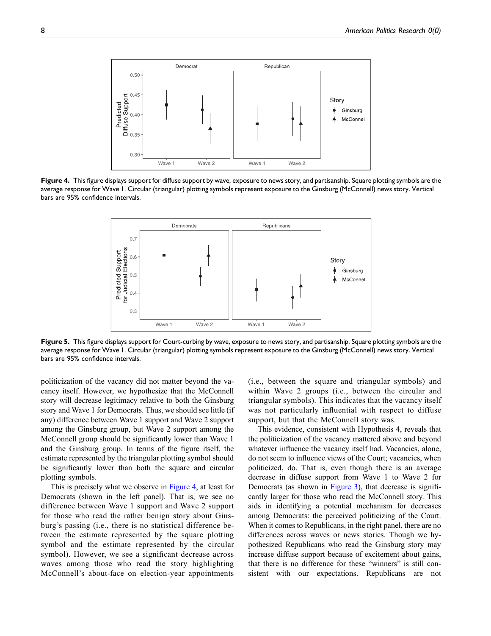

<span id="page-7-0"></span>Figure 4. This figure displays support for diffuse support by wave, exposure to news story, and partisanship. Square plotting symbols are the average response for Wave 1. Circular (triangular) plotting symbols represent exposure to the Ginsburg (McConnell) news story. Vertical bars are 95% confidence intervals.



<span id="page-7-1"></span>Figure 5. This figure displays support for Court-curbing by wave, exposure to news story, and partisanship. Square plotting symbols are the average response for Wave 1. Circular (triangular) plotting symbols represent exposure to the Ginsburg (McConnell) news story. Vertical bars are 95% confidence intervals.

politicization of the vacancy did not matter beyond the vacancy itself. However, we hypothesize that the McConnell story will decrease legitimacy relative to both the Ginsburg story and Wave 1 for Democrats. Thus, we should see little (if any) difference between Wave 1 support and Wave 2 support among the Ginsburg group, but Wave 2 support among the McConnell group should be significantly lower than Wave 1 and the Ginsburg group. In terms of the figure itself, the estimate represented by the triangular plotting symbol should be significantly lower than both the square and circular plotting symbols.

This is precisely what we observe in [Figure 4,](#page-7-0) at least for Democrats (shown in the left panel). That is, we see no difference between Wave 1 support and Wave 2 support for those who read the rather benign story about Ginsburg's passing (i.e., there is no statistical difference between the estimate represented by the square plotting symbol and the estimate represented by the circular symbol). However, we see a significant decrease across waves among those who read the story highlighting McConnell's about-face on election-year appointments

(i.e., between the square and triangular symbols) and within Wave 2 groups (i.e., between the circular and triangular symbols). This indicates that the vacancy itself was not particularly influential with respect to diffuse support, but that the McConnell story was.

This evidence, consistent with Hypothesis 4, reveals that the politicization of the vacancy mattered above and beyond whatever influence the vacancy itself had. Vacancies, alone, do not seem to influence views of the Court; vacancies, when politicized, do. That is, even though there is an average decrease in diffuse support from Wave 1 to Wave 2 for Democrats (as shown in [Figure 3\)](#page-6-0), that decrease is significantly larger for those who read the McConnell story. This aids in identifying a potential mechanism for decreases among Democrats: the perceived politicizing of the Court. When it comes to Republicans, in the right panel, there are no differences across waves or news stories. Though we hypothesized Republicans who read the Ginsburg story may increase diffuse support because of excitement about gains, that there is no difference for these "winners" is still consistent with our expectations. Republicans are not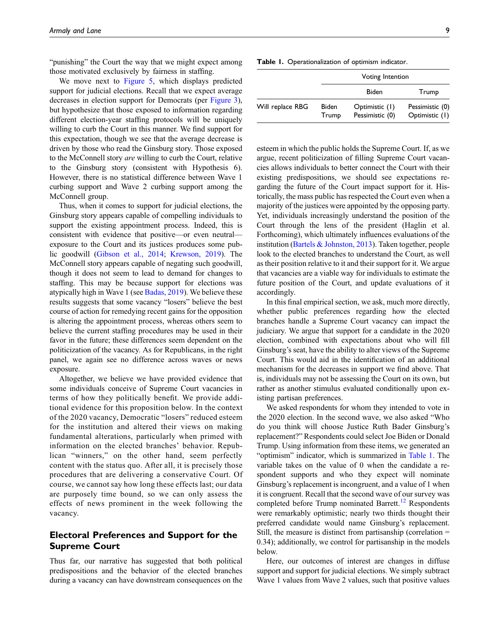"punishing" the Court the way that we might expect among those motivated exclusively by fairness in staffing.

We move next to [Figure 5,](#page-7-1) which displays predicted support for judicial elections. Recall that we expect average decreases in election support for Democrats (per [Figure 3\)](#page-6-0), but hypothesize that those exposed to information regarding different election-year staffing protocols will be uniquely willing to curb the Court in this manner. We find support for this expectation, though we see that the average decrease is driven by those who read the Ginsburg story. Those exposed to the McConnell story are willing to curb the Court, relative to the Ginsburg story (consistent with Hypothesis 6). However, there is no statistical difference between Wave 1 curbing support and Wave 2 curbing support among the McConnell group.

Thus, when it comes to support for judicial elections, the Ginsburg story appears capable of compelling individuals to support the existing appointment process. Indeed, this is consistent with evidence that positive—or even neutral exposure to the Court and its justices produces some public goodwill ([Gibson et al., 2014](#page-12-10); [Krewson, 2019\)](#page-13-24). The McConnell story appears capable of negating such goodwill, though it does not seem to lead to demand for changes to staffing. This may be because support for elections was atypically high in Wave 1 (see [Badas, 2019](#page-11-9)). We believe these results suggests that some vacancy "losers" believe the best course of action for remedying recent gains for the opposition is altering the appointment process, whereas others seem to believe the current staffing procedures may be used in their favor in the future; these differences seem dependent on the politicization of the vacancy. As for Republicans, in the right panel, we again see no difference across waves or news exposure.

Altogether, we believe we have provided evidence that some individuals conceive of Supreme Court vacancies in terms of how they politically benefit. We provide additional evidence for this proposition below. In the context of the 2020 vacancy, Democratic "losers" reduced esteem for the institution and altered their views on making fundamental alterations, particularly when primed with information on the elected branches' behavior. Republican "winners," on the other hand, seem perfectly content with the status quo. After all, it is precisely those procedures that are delivering a conservative Court. Of course, we cannot say how long these effects last; our data are purposely time bound, so we can only assess the effects of news prominent in the week following the vacancy.

# Electoral Preferences and Support for the Supreme Court

Thus far, our narrative has suggested that both political predispositions and the behavior of the elected branches during a vacancy can have downstream consequences on the

<span id="page-8-0"></span>Table 1. Operationalization of optimism indicator.

|                  |                       | Voting Intention                  |                                   |  |
|------------------|-----------------------|-----------------------------------|-----------------------------------|--|
|                  |                       | <b>Biden</b>                      | Trump                             |  |
| Will replace RBG | <b>Biden</b><br>Trump | Optimistic (1)<br>Pessimistic (0) | Pessimistic (0)<br>Optimistic (1) |  |

esteem in which the public holds the Supreme Court. If, as we argue, recent politicization of filling Supreme Court vacancies allows individuals to better connect the Court with their existing predispositions, we should see expectations regarding the future of the Court impact support for it. Historically, the mass public has respected the Court even when a majority of the justices were appointed by the opposing party. Yet, individuals increasingly understand the position of the Court through the lens of the president (Haglin et al. Forthcoming), which ultimately influences evaluations of the institution [\(Bartels & Johnston, 2013](#page-11-20)). Taken together, people look to the elected branches to understand the Court, as well as their position relative to it and their support for it. We argue that vacancies are a viable way for individuals to estimate the future position of the Court, and update evaluations of it accordingly.

In this final empirical section, we ask, much more directly, whether public preferences regarding how the elected branches handle a Supreme Court vacancy can impact the judiciary. We argue that support for a candidate in the 2020 election, combined with expectations about who will fill Ginsburg's seat, have the ability to alter views of the Supreme Court. This would aid in the identification of an additional mechanism for the decreases in support we find above. That is, individuals may not be assessing the Court on its own, but rather as another stimulus evaluated conditionally upon existing partisan preferences.

We asked respondents for whom they intended to vote in the 2020 election. In the second wave, we also asked "Who do you think will choose Justice Ruth Bader Ginsburg's replacement?" Respondents could select Joe Biden or Donald Trump. Using information from these items, we generated an "optimism" indicator, which is summarized in [Table 1.](#page-8-0) The variable takes on the value of 0 when the candidate a respondent supports and who they expect will nominate Ginsburg's replacement is incongruent, and a value of 1 when it is congruent. Recall that the second wave of our survey was completed before Trump nominated Barrett.<sup>[12](#page-11-21)</sup> Respondents were remarkably optimistic; nearly two thirds thought their preferred candidate would name Ginsburg's replacement. Still, the measure is distinct from partisanship (correlation = 0.34); additionally, we control for partisanship in the models below.

Here, our outcomes of interest are changes in diffuse support and support for judicial elections. We simply subtract Wave 1 values from Wave 2 values, such that positive values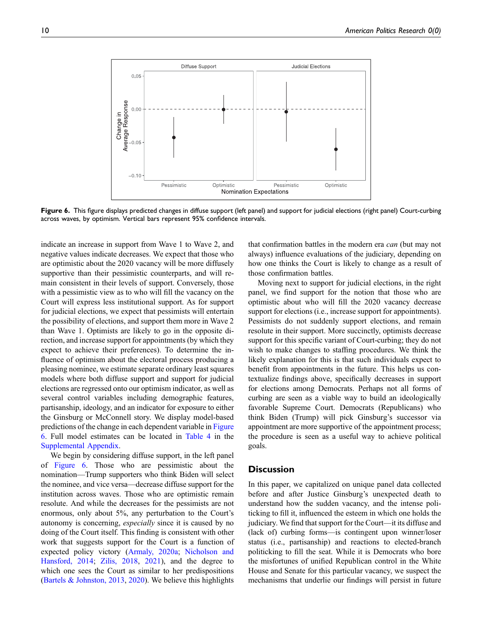

<span id="page-9-0"></span>Figure 6. This figure displays predicted changes in diffuse support (left panel) and support for judicial elections (right panel) Court-curbing across waves, by optimism. Vertical bars represent 95% confidence intervals.

indicate an increase in support from Wave 1 to Wave 2, and negative values indicate decreases. We expect that those who are optimistic about the 2020 vacancy will be more diffusely supportive than their pessimistic counterparts, and will remain consistent in their levels of support. Conversely, those with a pessimistic view as to who will fill the vacancy on the Court will express less institutional support. As for support for judicial elections, we expect that pessimists will entertain the possibility of elections, and support them more in Wave 2 than Wave 1. Optimists are likely to go in the opposite direction, and increase support for appointments (by which they expect to achieve their preferences). To determine the influence of optimism about the electoral process producing a pleasing nominee, we estimate separate ordinary least squares models where both diffuse support and support for judicial elections are regressed onto our optimism indicator, as well as several control variables including demographic features, partisanship, ideology, and an indicator for exposure to either the Ginsburg or McConnell story. We display model-based predictions of the change in each dependent variable in [Figure](#page-9-0) [6](#page-9-0). Full model estimates can be located in [Table 4](https://journals.sagepub.com/doi/suppl/10.1177/1532673X211064299) in the [Supplemental Appendix](https://journals.sagepub.com/doi/suppl/10.1177/1532673X211064299).

We begin by considering diffuse support, in the left panel of [Figure 6](#page-9-0). Those who are pessimistic about the nomination—Trump supporters who think Biden will select the nominee, and vice versa—decrease diffuse support for the institution across waves. Those who are optimistic remain resolute. And while the decreases for the pessimists are not enormous, only about 5%, any perturbation to the Court's autonomy is concerning, especially since it is caused by no doing of the Court itself. This finding is consistent with other work that suggests support for the Court is a function of expected policy victory ([Armaly, 2020a](#page-11-16); [Nicholson and](#page-13-15) [Hansford, 2014;](#page-13-15) [Zilis, 2018](#page-13-8), [2021\)](#page-13-16), and the degree to which one sees the Court as similar to her predispositions [\(Bartels & Johnston, 2013](#page-11-20), [2020](#page-11-2)). We believe this highlights

that confirmation battles in the modern era *can* (but may not always) influence evaluations of the judiciary, depending on how one thinks the Court is likely to change as a result of those confirmation battles.

Moving next to support for judicial elections, in the right panel, we find support for the notion that those who are optimistic about who will fill the 2020 vacancy decrease support for elections (i.e., increase support for appointments). Pessimists do not suddenly support elections, and remain resolute in their support. More succinctly, optimists decrease support for this specific variant of Court-curbing; they do not wish to make changes to staffing procedures. We think the likely explanation for this is that such individuals expect to benefit from appointments in the future. This helps us contextualize findings above, specifically decreases in support for elections among Democrats. Perhaps not all forms of curbing are seen as a viable way to build an ideologically favorable Supreme Court. Democrats (Republicans) who think Biden (Trump) will pick Ginsburg's successor via appointment are more supportive of the appointment process; the procedure is seen as a useful way to achieve political goals.

### **Discussion**

In this paper, we capitalized on unique panel data collected before and after Justice Ginsburg's unexpected death to understand how the sudden vacancy, and the intense politicking to fill it, influenced the esteem in which one holds the judiciary. We find that support for the Court—it its diffuse and (lack of) curbing forms—is contingent upon winner/loser status (i.e., partisanship) and reactions to elected-branch politicking to fill the seat. While it is Democrats who bore the misfortunes of unified Republican control in the White House and Senate for this particular vacancy, we suspect the mechanisms that underlie our findings will persist in future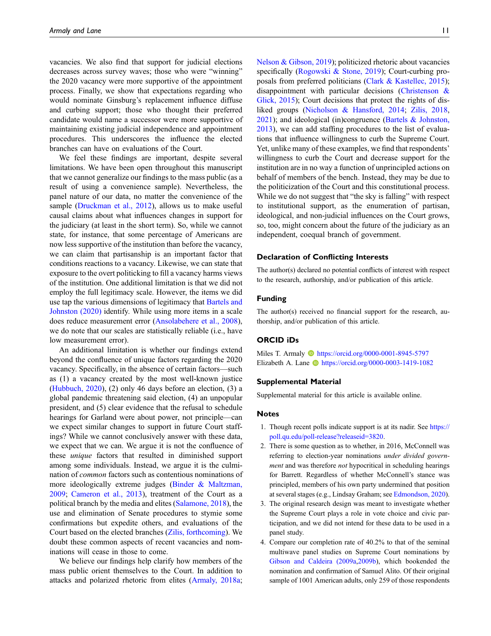vacancies. We also find that support for judicial elections decreases across survey waves; those who were "winning" the 2020 vacancy were more supportive of the appointment process. Finally, we show that expectations regarding who would nominate Ginsburg's replacement influence diffuse and curbing support; those who thought their preferred candidate would name a successor were more supportive of maintaining existing judicial independence and appointment procedures. This underscores the influence the elected branches can have on evaluations of the Court.

We feel these findings are important, despite several limitations. We have been open throughout this manuscript that we cannot generalize our findings to the mass public (as a result of using a convenience sample). Nevertheless, the panel nature of our data, no matter the convenience of the sample ([Druckman et al., 2012](#page-12-22)), allows us to make useful causal claims about what influences changes in support for the judiciary (at least in the short term). So, while we cannot state, for instance, that some percentage of Americans are now less supportive of the institution than before the vacancy, we can claim that partisanship is an important factor that conditions reactions to a vacancy. Likewise, we can state that exposure to the overt politicking to fill a vacancy harms views of the institution. One additional limitation is that we did not employ the full legitimacy scale. However, the items we did use tap the various dimensions of legitimacy that **Bartels** and [Johnston \(2020\)](#page-11-2) identify. While using more items in a scale does reduce measurement error ([Ansolabehere et al., 2008\)](#page-11-22), we do note that our scales are statistically reliable (i.e., have low measurement error).

An additional limitation is whether our findings extend beyond the confluence of unique factors regarding the 2020 vacancy. Specifically, in the absence of certain factors—such as (1) a vacancy created by the most well-known justice [\(Hubbuch, 2020](#page-12-27)), (2) only 46 days before an election, (3) a global pandemic threatening said election, (4) an unpopular president, and (5) clear evidence that the refusal to schedule hearings for Garland were about power, not principle—can we expect similar changes to support in future Court staffings? While we cannot conclusively answer with these data, we expect that we can. We argue it is not the confluence of these unique factors that resulted in diminished support among some individuals. Instead, we argue it is the culmination of common factors such as contentious nominations of more ideologically extreme judges ([Binder & Maltzman,](#page-11-23) [2009;](#page-11-23) [Cameron et al., 2013\)](#page-11-3), treatment of the Court as a political branch by the media and elites [\(Salamone, 2018\)](#page-13-10), the use and elimination of Senate procedures to stymie some confirmations but expedite others, and evaluations of the Court based on the elected branches ([Zilis, forthcoming](#page-13-25)). We doubt these common aspects of recent vacancies and nominations will cease in those to come.

We believe our findings help clarify how members of the mass public orient themselves to the Court. In addition to attacks and polarized rhetoric from elites [\(Armaly, 2018a;](#page-11-7) [Nelson & Gibson, 2019\)](#page-13-9); politicized rhetoric about vacancies specifically ([Rogowski & Stone, 2019](#page-13-6)); Court-curbing proposals from preferred politicians ([Clark & Kastellec, 2015\)](#page-12-21); disappointment with particular decisions [\(Christenson &](#page-12-8) [Glick, 2015](#page-12-8)); Court decisions that protect the rights of disliked groups ([Nicholson & Hansford, 2014;](#page-13-15) [Zilis, 2018](#page-13-8), [2021](#page-13-16)); and ideological (in)congruence ([Bartels & Johnston,](#page-11-20) [2013](#page-11-20)), we can add staffing procedures to the list of evaluations that influence willingness to curb the Supreme Court. Yet, unlike many of these examples, we find that respondents' willingness to curb the Court and decrease support for the institution are in no way a function of unprincipled actions on behalf of members of the bench. Instead, they may be due to the politicization of the Court and this constitutional process. While we do not suggest that "the sky is falling" with respect to institutional support, as the enumeration of partisan, ideological, and non-judicial influences on the Court grows, so, too, might concern about the future of the judiciary as an independent, coequal branch of government.

### Declaration of Conflicting Interests

The author(s) declared no potential conflicts of interest with respect to the research, authorship, and/or publication of this article.

### Funding

The author(s) received no financial support for the research, authorship, and/or publication of this article.

### ORCID iDs

Miles T. Armaly **b** <https://orcid.org/0000-0001-8945-5797> Elizabeth A. Lane <https://orcid.org/0000-0003-1419-1082>

#### Supplemental Material

Supplemental material for this article is available online.

## Notes

- <span id="page-10-0"></span>1. Though recent polls indicate support is at its nadir. See [https://](https://poll.qu.edu/poll-release?releaseid=3820) [poll.qu.edu/poll-release?releaseid=3820](https://poll.qu.edu/poll-release?releaseid=3820).
- <span id="page-10-1"></span>2. There is some question as to whether, in 2016, McConnell was referring to election-year nominations under divided government and was therefore *not* hypocritical in scheduling hearings for Barrett. Regardless of whether McConnell's stance was principled, members of his own party undermined that position at several stages (e.g., Lindsay Graham; see [Edmondson, 2020\)](#page-12-28).
- <span id="page-10-2"></span>3. The original research design was meant to investigate whether the Supreme Court plays a role in vote choice and civic participation, and we did not intend for these data to be used in a panel study.
- <span id="page-10-3"></span>4. Compare our completion rate of 40.2% to that of the seminal multiwave panel studies on Supreme Court nominations by [Gibson and Caldeira \(2009a](#page-12-9),[2009b](#page-12-3)), which bookended the nomination and confirmation of Samuel Alito. Of their original sample of 1001 American adults, only 259 of those respondents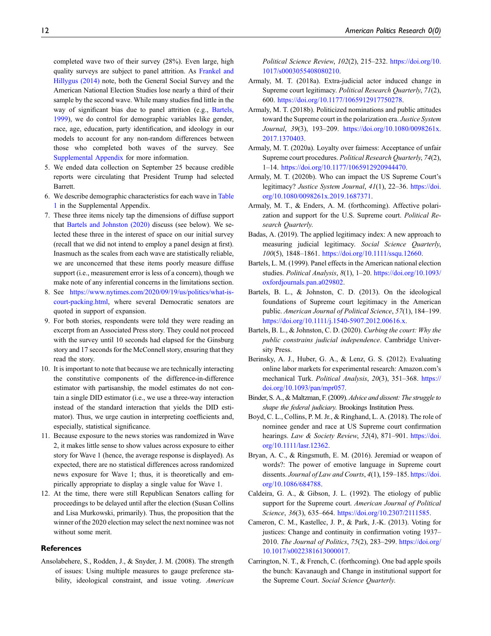completed wave two of their survey (28%). Even large, high quality surveys are subject to panel attrition. As [Frankel and](#page-12-29) [Hillygus \(2014\)](#page-12-29) note, both the General Social Survey and the American National Election Studies lose nearly a third of their sample by the second wave. While many studies find little in the way of significant bias due to panel attrition (e.g., [Bartels,](#page-11-24) [1999\)](#page-11-24), we do control for demographic variables like gender, race, age, education, party identification, and ideology in our models to account for any non-random differences between those who completed both waves of the survey. See [Supplemental Appendix](https://journals.sagepub.com/doi/suppl/10.1177/1532673X211064299) for more information.

- <span id="page-11-11"></span>5. We ended data collection on September 25 because credible reports were circulating that President Trump had selected Barrett.
- <span id="page-11-12"></span>6. We describe demographic characteristics for each wave in [Table](https://journals.sagepub.com/doi/suppl/10.1177/1532673X211064299) [1](https://journals.sagepub.com/doi/suppl/10.1177/1532673X211064299) in the Supplemental Appendix.
- <span id="page-11-13"></span>7. These three items nicely tap the dimensions of diffuse support that [Bartels and Johnston \(2020\)](#page-11-2) discuss (see below). We selected these three in the interest of space on our initial survey (recall that we did not intend to employ a panel design at first). Inasmuch as the scales from each wave are statistically reliable, we are unconcerned that these items poorly measure diffuse support (i.e., measurement error is less of a concern), though we make note of any inferential concerns in the limitations section.
- <span id="page-11-14"></span>8. See [https://www.nytimes.com/2020/09/19/us/politics/what-is](https://www.nytimes.com/2020/09/19/us/politics/what-is-court-packing.html)[court-packing.html,](https://www.nytimes.com/2020/09/19/us/politics/what-is-court-packing.html) where several Democratic senators are quoted in support of expansion.
- <span id="page-11-15"></span>9. For both stories, respondents were told they were reading an excerpt from an Associated Press story. They could not proceed with the survey until 10 seconds had elapsed for the Ginsburg story and 17 seconds for the McConnell story, ensuring that they read the story.
- <span id="page-11-18"></span>10. It is important to note that because we are technically interacting the constitutive components of the difference-in-difference estimator with partisanship, the model estimates do not contain a single DID estimator (i.e., we use a three-way interaction instead of the standard interaction that yields the DID estimator). Thus, we urge caution in interpreting coefficients and, especially, statistical significance.
- <span id="page-11-19"></span>11. Because exposure to the news stories was randomized in Wave 2, it makes little sense to show values across exposure to either story for Wave 1 (hence, the average response is displayed). As expected, there are no statistical differences across randomized news exposure for Wave 1; thus, it is theoretically and empirically appropriate to display a single value for Wave 1.
- <span id="page-11-21"></span>12. At the time, there were still Republican Senators calling for proceedings to be delayed until after the election (Susan Collins and Lisa Murkowski, primarily). Thus, the proposition that the winner of the 2020 election may select the next nominee was not without some merit.

### References

<span id="page-11-22"></span>Ansolabehere, S., Rodden, J., & Snyder, J. M. (2008). The strength of issues: Using multiple measures to gauge preference stability, ideological constraint, and issue voting. American Political Science Review, 102(2), 215–232. [https://doi.org/10.](https://doi.org/10.1017/s0003055408080210) [1017/s0003055408080210](https://doi.org/10.1017/s0003055408080210).

- <span id="page-11-7"></span>Armaly, M. T. (2018a). Extra-judicial actor induced change in Supreme court legitimacy. Political Research Quarterly, 71(2), 600. [https://doi.org/10.1177/1065912917750278.](https://doi.org/10.1177/1065912917750278)
- <span id="page-11-0"></span>Armaly, M. T. (2018b). Politicized nominations and public attitudes toward the Supreme court in the polarization era. Justice System Journal, 39(3), 193–209. [https://doi.org/10.1080/0098261x.](https://doi.org/10.1080/0098261x.2017.1370403) [2017.1370403](https://doi.org/10.1080/0098261x.2017.1370403).
- <span id="page-11-16"></span>Armaly, M. T. (2020a). Loyalty over fairness: Acceptance of unfair Supreme court procedures. Political Research Quarterly, 74(2), 1–14. <https://doi.org/10.1177/1065912920944470>.
- <span id="page-11-5"></span>Armaly, M. T. (2020b). Who can impact the US Supreme Court's legitimacy? Justice System Journal, 41(1), 22–36. [https://doi.](https://doi.org/10.1080/0098261x.2019.1687371) [org/10.1080/0098261x.2019.1687371.](https://doi.org/10.1080/0098261x.2019.1687371)
- <span id="page-11-8"></span>Armaly, M. T., & Enders, A. M. (forthcoming). Affective polarization and support for the U.S. Supreme court. Political Research Quarterly.
- <span id="page-11-9"></span>Badas, A. (2019). The applied legitimacy index: A new approach to measuring judicial legitimacy. Social Science Quarterly, 100(5), 1848–1861. [https://doi.org/10.1111/ssqu.12660.](https://doi.org/10.1111/ssqu.12660)
- <span id="page-11-24"></span>Bartels, L. M. (1999). Panel effects in the American national election studies. Political Analysis, 8(1), 1–20. [https://doi.org/10.1093/](https://doi.org/10.1093/oxfordjournals.pan.a029802) [oxfordjournals.pan.a029802](https://doi.org/10.1093/oxfordjournals.pan.a029802).
- <span id="page-11-20"></span>Bartels, B. L., & Johnston, C. D. (2013). On the ideological foundations of Supreme court legitimacy in the American public. American Journal of Political Science, 57(1), 184–199. [https://doi.org/10.1111/j.1540-5907.2012.00616.x.](https://doi.org/10.1111/j.1540-5907.2012.00616.x)
- <span id="page-11-2"></span>Bartels, B. L., & Johnston, C. D. (2020). Curbing the court: Why the public constrains judicial independence. Cambridge University Press.
- <span id="page-11-10"></span>Berinsky, A. J., Huber, G. A., & Lenz, G. S. (2012). Evaluating online labor markets for experimental research: Amazon.com's mechanical Turk. Political Analysis, 20(3), 351–368. [https://](https://doi.org/10.1093/pan/mpr057) [doi.org/10.1093/pan/mpr057](https://doi.org/10.1093/pan/mpr057).
- <span id="page-11-23"></span>Binder, S. A., & Maltzman, F. (2009). Advice and dissent: The struggle to shape the federal judiciary. Brookings Institution Press.
- <span id="page-11-6"></span>Boyd, C. L., Collins, P. M. Jr., & Ringhand, L. A. (2018). The role of nominee gender and race at US Supreme court confirmation hearings. Law & Society Review, 52(4), 871-901. [https://doi.](https://doi.org/10.1111/lasr.12362) [org/10.1111/lasr.12362](https://doi.org/10.1111/lasr.12362).
- <span id="page-11-4"></span>Bryan, A. C., & Ringsmuth, E. M. (2016). Jeremiad or weapon of words?: The power of emotive language in Supreme court dissents. Journal of Law and Courts, 4(1), 159–185. [https://doi.](https://doi.org/10.1086/684788) [org/10.1086/684788](https://doi.org/10.1086/684788).
- <span id="page-11-17"></span>Caldeira, G. A., & Gibson, J. L. (1992). The etiology of public support for the Supreme court. American Journal of Political Science, 36(3), 635–664. [https://doi.org/10.2307/2111585.](https://doi.org/10.2307/2111585)
- <span id="page-11-3"></span>Cameron, C. M., Kastellec, J. P., & Park, J.-K. (2013). Voting for justices: Change and continuity in confirmation voting 1937– 2010. The Journal of Politics, 75(2), 283–299. [https://doi.org/](https://doi.org/10.1017/s0022381613000017) [10.1017/s0022381613000017](https://doi.org/10.1017/s0022381613000017).
- <span id="page-11-1"></span>Carrington, N. T., & French, C. (forthcoming). One bad apple spoils the bunch: Kavanaugh and Change in institutional support for the Supreme Court. Social Science Quarterly.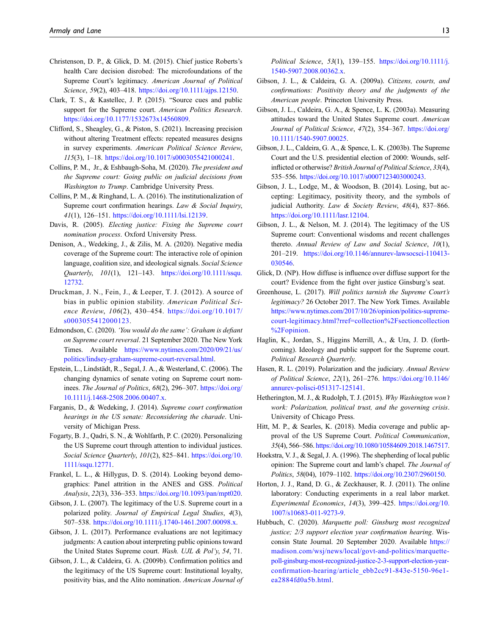- <span id="page-12-8"></span>Christenson, D. P., & Glick, D. M. (2015). Chief justice Roberts's health Care decision disrobed: The microfoundations of the Supreme Court's legitimacy. American Journal of Political Science, 59(2), 403–418. <https://doi.org/10.1111/ajps.12150>.
- <span id="page-12-21"></span>Clark, T. S., & Kastellec, J. P. (2015). "Source cues and public support for the Supreme court. American Politics Research. <https://doi.org/10.1177/1532673x14560809>.
- <span id="page-12-2"></span>Clifford, S., Sheagley, G., & Piston, S. (2021). Increasing precision without altering Treatment effects: repeated measures designs in survey experiments. American Political Science Review, 115(3), 1–18. <https://doi.org/10.1017/s0003055421000241>.
- <span id="page-12-6"></span>Collins, P. M., Jr., & Eshbaugh-Soha, M. (2020). The president and the Supreme court: Going public on judicial decisions from Washington to Trump. Cambridge University Press.
- <span id="page-12-15"></span>Collins, P. M., & Ringhand, L. A. (2016). The institutionalization of Supreme court confirmation hearings. Law & Social Inquiry, 41(1), 126–151. [https://doi.org/10.1111/lsi.12139.](https://doi.org/10.1111/lsi.12139)
- <span id="page-12-1"></span>Davis, R. (2005). Electing justice: Fixing the Supreme court nomination process. Oxford University Press.
- <span id="page-12-18"></span>Denison, A., Wedeking, J., & Zilis, M. A. (2020). Negative media coverage of the Supreme court: The interactive role of opinion language, coalition size, and ideological signals. Social Science Quarterly, 101(1), 121–143. [https://doi.org/10.1111/ssqu.](https://doi.org/10.1111/ssqu.12732) [12732](https://doi.org/10.1111/ssqu.12732).
- <span id="page-12-22"></span>Druckman, J. N., Fein, J., & Leeper, T. J. (2012). A source of bias in public opinion stability. American Political Science Review, 106(2), 430–454. [https://doi.org/10.1017/](https://doi.org/10.1017/s0003055412000123) [s0003055412000123.](https://doi.org/10.1017/s0003055412000123)
- <span id="page-12-28"></span>Edmondson, C. (2020). 'You would do the same': Graham is defiant on Supreme court reversal. 21 September 2020. The New York Times. Available [https://www.nytimes.com/2020/09/21/us/](https://www.nytimes.com/2020/09/21/us/politics/lindsey-graham-supreme-court-reversal.html) [politics/lindsey-graham-supreme-court-reversal.html.](https://www.nytimes.com/2020/09/21/us/politics/lindsey-graham-supreme-court-reversal.html)
- <span id="page-12-7"></span>Epstein, L., Lindstädt, R., Segal, J. A., & Westerland, C. (2006). The changing dynamics of senate voting on Supreme court nominees. The Journal of Politics, 68(2), 296–307. [https://doi.org/](https://doi.org/10.1111/j.1468-2508.2006.00407.x) [10.1111/j.1468-2508.2006.00407.x](https://doi.org/10.1111/j.1468-2508.2006.00407.x).
- <span id="page-12-4"></span>Farganis, D., & Wedeking, J. (2014). Supreme court confirmation hearings in the US senate: Reconsidering the charade. University of Michigan Press.
- <span id="page-12-17"></span>Fogarty, B. J., Qadri, S. N., & Wohlfarth, P. C. (2020). Personalizing the US Supreme court through attention to individual justices. Social Science Quarterly, 101(2), 825-841. [https://doi.org/10.](https://doi.org/10.1111/ssqu.12771) [1111/ssqu.12771.](https://doi.org/10.1111/ssqu.12771)
- <span id="page-12-29"></span>Frankel, L. L., & Hillygus, D. S. (2014). Looking beyond demographics: Panel attrition in the ANES and GSS. Political Analysis, 22(3), 336–353. <https://doi.org/10.1093/pan/mpt020>.
- <span id="page-12-11"></span>Gibson, J. L. (2007). The legitimacy of the U.S. Supreme court in a polarized polity. Journal of Empirical Legal Studies, 4(3), 507–538. <https://doi.org/10.1111/j.1740-1461.2007.00098.x>.
- <span id="page-12-25"></span>Gibson, J. L. (2017). Performance evaluations are not legitimacy judgments: A caution about interpreting public opinions toward the United States Supreme court. Wash. UJL & Pol'y, 54, 71.
- <span id="page-12-3"></span>Gibson, J. L., & Caldeira, G. A. (2009b). Confirmation politics and the legitimacy of the US Supreme court: Institutional loyalty, positivity bias, and the Alito nomination. American Journal of

Political Science, 53(1), 139–155. [https://doi.org/10.1111/j.](https://doi.org/10.1111/j.1540-5907.2008.00362.x) [1540-5907.2008.00362.x.](https://doi.org/10.1111/j.1540-5907.2008.00362.x)

- <span id="page-12-9"></span>Gibson, J. L., & Caldeira, G. A. (2009a). Citizens, courts, and confirmations: Positivity theory and the judgments of the American people. Princeton University Press.
- <span id="page-12-24"></span>Gibson, J. L., Caldeira, G. A., & Spence, L. K. (2003a). Measuring attitudes toward the United States Supreme court. American Journal of Political Science, 47(2), 354–367. [https://doi.org/](https://doi.org/10.1111/1540-5907.00025) [10.1111/1540-5907.00025](https://doi.org/10.1111/1540-5907.00025).
- <span id="page-12-12"></span>Gibson, J. L., Caldeira, G. A., & Spence, L. K. (2003b). The Supreme Court and the U.S. presidential election of 2000: Wounds, selfinflicted or otherwise? British Journal of Political Science, 33(4), 535–556. <https://doi.org/10.1017/s0007123403000243>.
- <span id="page-12-10"></span>Gibson, J. L., Lodge, M., & Woodson, B. (2014). Losing, but accepting: Legitimacy, positivity theory, and the symbols of judicial Authority. Law & Society Review, 48(4), 837–866. <https://doi.org/10.1111/lasr.12104>.
- <span id="page-12-20"></span>Gibson, J. L., & Nelson, M. J. (2014). The legitimacy of the US Supreme court: Conventional wisdoms and recent challenges thereto. Annual Review of Law and Social Science, 10(1), 201–219. [https://doi.org/10.1146/annurev-lawsocsci-110413-](https://doi.org/10.1146/annurev-lawsocsci-110413-030546) [030546](https://doi.org/10.1146/annurev-lawsocsci-110413-030546).
- <span id="page-12-26"></span>Glick, D. (NP). How diffuse is influence over diffuse support for the court? Evidence from the fight over justice Ginsburg's seat.
- <span id="page-12-0"></span>Greenhouse, L. (2017). Will politics tarnish the Supreme Court's legitimacy? 26 October 2017. The New York Times. Available [https://www.nytimes.com/2017/10/26/opinion/politics-supreme](https://www.nytimes.com/2017/10/26/opinion/politics-supreme-court-legitimacy.html?rref=collection%2Fsectioncollection%2Fopinion)[court-legitimacy.html?rref=collection%2Fsectioncollection](https://www.nytimes.com/2017/10/26/opinion/politics-supreme-court-legitimacy.html?rref=collection%2Fsectioncollection%2Fopinion) [%2Fopinion.](https://www.nytimes.com/2017/10/26/opinion/politics-supreme-court-legitimacy.html?rref=collection%2Fsectioncollection%2Fopinion)
- <span id="page-12-19"></span>Haglin, K., Jordan, S., Higgins Merrill, A., & Ura, J. D. (forthcoming). Ideology and public support for the Supreme court. Political Research Quarterly.
- <span id="page-12-13"></span>Hasen, R. L. (2019). Polarization and the judiciary. Annual Review of Political Science, 22(1), 261–276. [https://doi.org/10.1146/](https://doi.org/10.1146/annurev-polisci-051317-125141) [annurev-polisci-051317-125141.](https://doi.org/10.1146/annurev-polisci-051317-125141)
- <span id="page-12-14"></span>Hetherington, M. J., & Rudolph, T. J. (2015). Why Washington won't work: Polarization, political trust, and the governing crisis. University of Chicago Press.
- <span id="page-12-16"></span>Hitt, M. P., & Searles, K. (2018). Media coverage and public approval of the US Supreme Court. Political Communication, 35(4), 566–586. [https://doi.org/10.1080/10584609.2018.1467517.](https://doi.org/10.1080/10584609.2018.1467517)
- <span id="page-12-5"></span>Hoekstra, V. J., & Segal, J. A. (1996). The shepherding of local public opinion: The Supreme court and lamb's chapel. The Journal of Politics, 58(04), 1079–1102. <https://doi.org/10.2307/2960150>.
- <span id="page-12-23"></span>Horton, J. J., Rand, D. G., & Zeckhauser, R. J. (2011). The online laboratory: Conducting experiments in a real labor market. Experimental Economics, 14(3), 399–425. [https://doi.org/10.](https://doi.org/10.1007/s10683-011-9273-9) [1007/s10683-011-9273-9.](https://doi.org/10.1007/s10683-011-9273-9)
- <span id="page-12-27"></span>Hubbuch, C. (2020). Marquette poll: Ginsburg most recognized justice; 2/3 support election year confirmation hearing. Wisconsin State Journal. 20 September 2020. Available [https://](https://madison.com/wsj/news/local/govt-and-politics/marquette-poll-ginsburg-most-recognized-justice-2-3-support-election-year-confirmation-hearing/article_ebb2cc91-843e-5150-96e1-ea2884fd0a5b.html) [madison.com/wsj/news/local/govt-and-politics/marquette](https://madison.com/wsj/news/local/govt-and-politics/marquette-poll-ginsburg-most-recognized-justice-2-3-support-election-year-confirmation-hearing/article_ebb2cc91-843e-5150-96e1-ea2884fd0a5b.html)[poll-ginsburg-most-recognized-justice-2-3-support-election-year](https://madison.com/wsj/news/local/govt-and-politics/marquette-poll-ginsburg-most-recognized-justice-2-3-support-election-year-confirmation-hearing/article_ebb2cc91-843e-5150-96e1-ea2884fd0a5b.html)confi[rmation-hearing/article\\_ebb2cc91-843e-5150-96e1](https://madison.com/wsj/news/local/govt-and-politics/marquette-poll-ginsburg-most-recognized-justice-2-3-support-election-year-confirmation-hearing/article_ebb2cc91-843e-5150-96e1-ea2884fd0a5b.html) [ea2884fd0a5b.html.](https://madison.com/wsj/news/local/govt-and-politics/marquette-poll-ginsburg-most-recognized-justice-2-3-support-election-year-confirmation-hearing/article_ebb2cc91-843e-5150-96e1-ea2884fd0a5b.html)